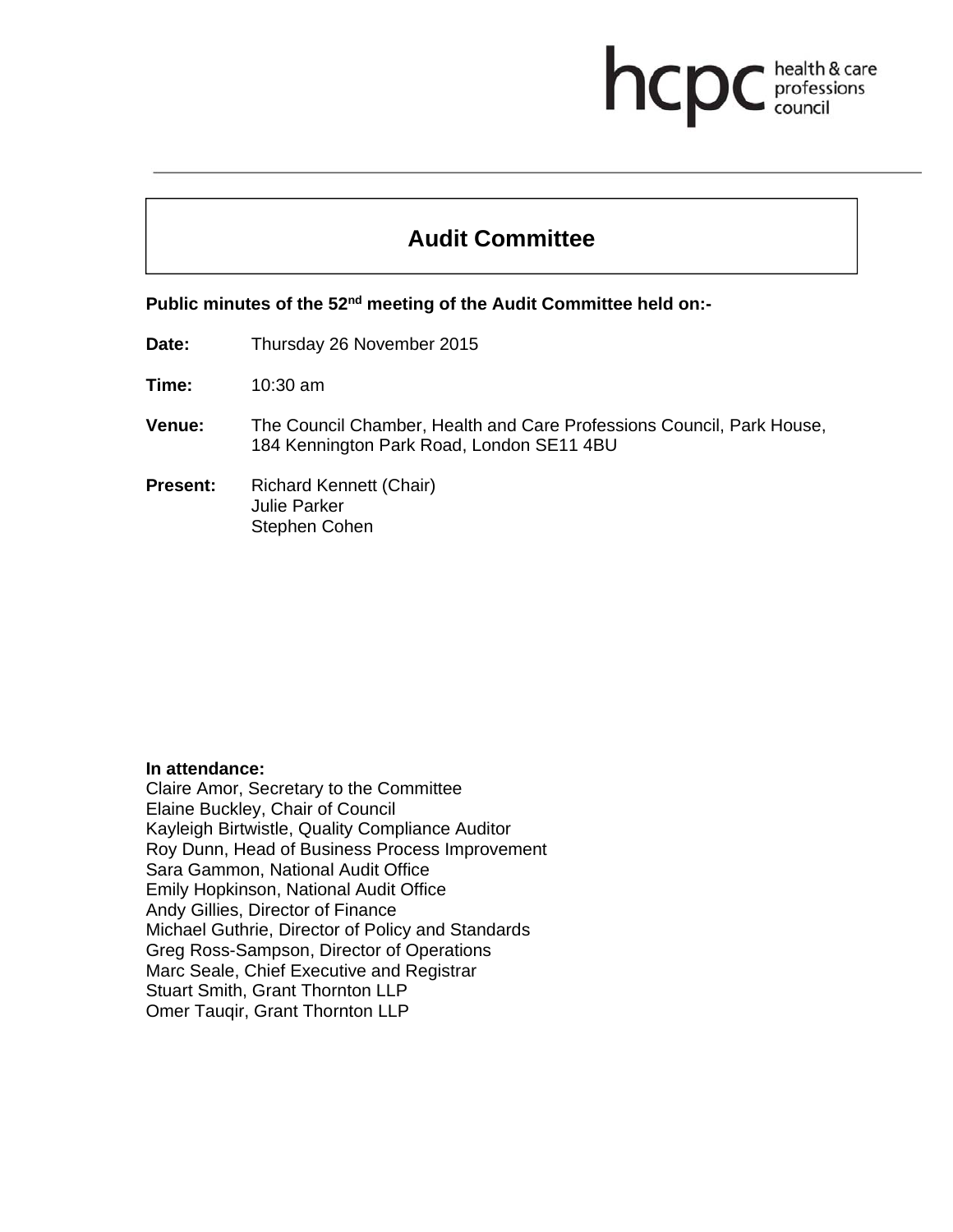# **Audit Committee**

health & care professions<br>council

Public minutes of the 52<sup>nd</sup> meeting of the Audit Committee held on:-

**Date:** Thursday 26 November 2015

**Time:** 10:30 am

- **Venue:** The Council Chamber, Health and Care Professions Council, Park House, 184 Kennington Park Road, London SE11 4BU
- **Present:** Richard Kennett (Chair) Julie Parker Stephen Cohen

#### **In attendance:**

Claire Amor, Secretary to the Committee Elaine Buckley, Chair of Council Kayleigh Birtwistle, Quality Compliance Auditor Roy Dunn, Head of Business Process Improvement Sara Gammon, National Audit Office Emily Hopkinson, National Audit Office Andy Gillies, Director of Finance Michael Guthrie, Director of Policy and Standards Greg Ross-Sampson, Director of Operations Marc Seale, Chief Executive and Registrar Stuart Smith, Grant Thornton LLP Omer Tauqir, Grant Thornton LLP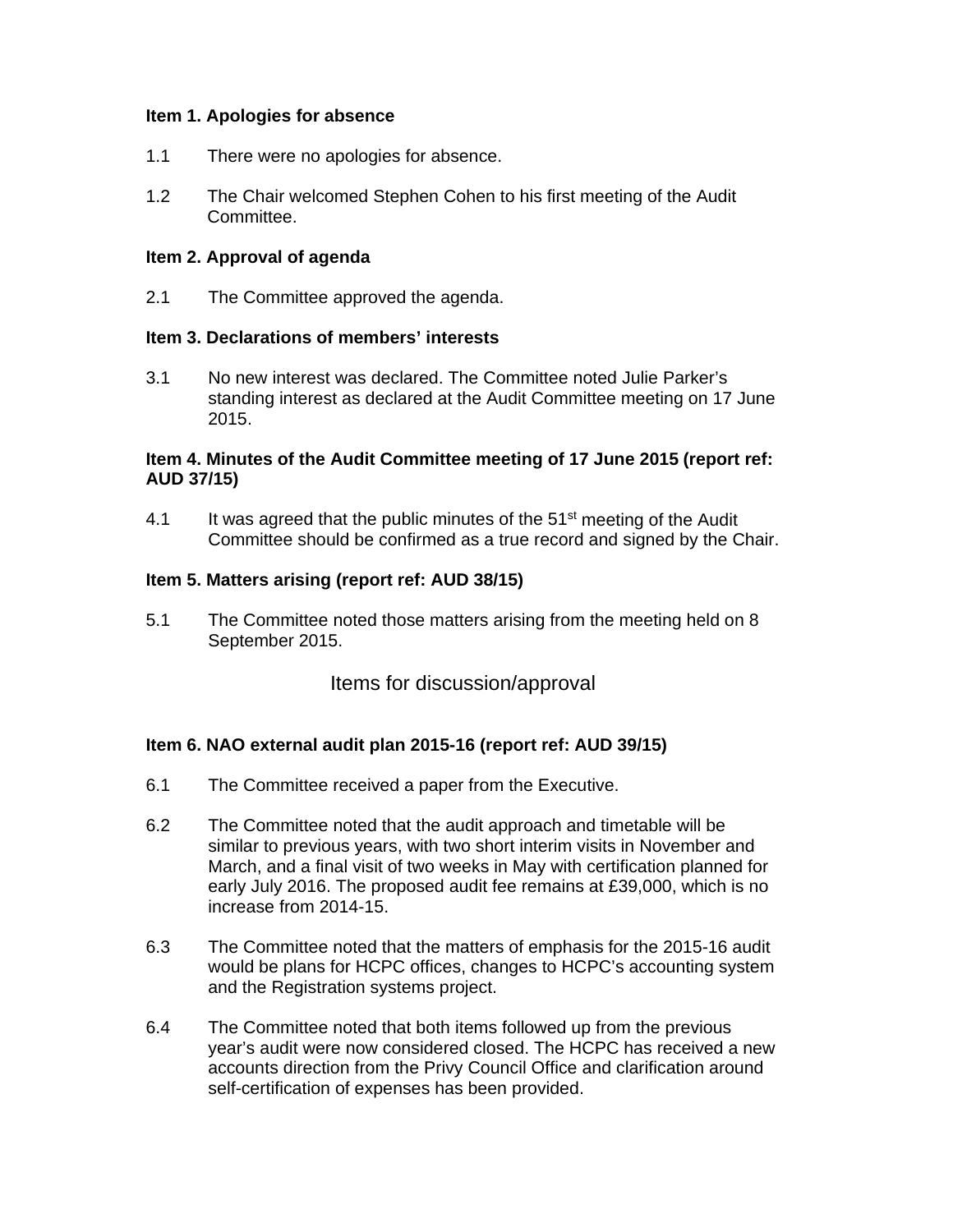#### **Item 1. Apologies for absence**

- 1.1 There were no apologies for absence.
- 1.2 The Chair welcomed Stephen Cohen to his first meeting of the Audit Committee.

#### **Item 2. Approval of agenda**

2.1 The Committee approved the agenda.

#### **Item 3. Declarations of members' interests**

3.1 No new interest was declared. The Committee noted Julie Parker's standing interest as declared at the Audit Committee meeting on 17 June 2015.

## **Item 4. Minutes of the Audit Committee meeting of 17 June 2015 (report ref: AUD 37/15)**

4.1 It was agreed that the public minutes of the  $51<sup>st</sup>$  meeting of the Audit Committee should be confirmed as a true record and signed by the Chair.

#### **Item 5. Matters arising (report ref: AUD 38/15)**

5.1 The Committee noted those matters arising from the meeting held on 8 September 2015.

Items for discussion/approval

## **Item 6. NAO external audit plan 2015-16 (report ref: AUD 39/15)**

- 6.1 The Committee received a paper from the Executive.
- 6.2 The Committee noted that the audit approach and timetable will be similar to previous years, with two short interim visits in November and March, and a final visit of two weeks in May with certification planned for early July 2016. The proposed audit fee remains at £39,000, which is no increase from 2014-15.
- 6.3 The Committee noted that the matters of emphasis for the 2015-16 audit would be plans for HCPC offices, changes to HCPC's accounting system and the Registration systems project.
- 6.4 The Committee noted that both items followed up from the previous year's audit were now considered closed. The HCPC has received a new accounts direction from the Privy Council Office and clarification around self-certification of expenses has been provided.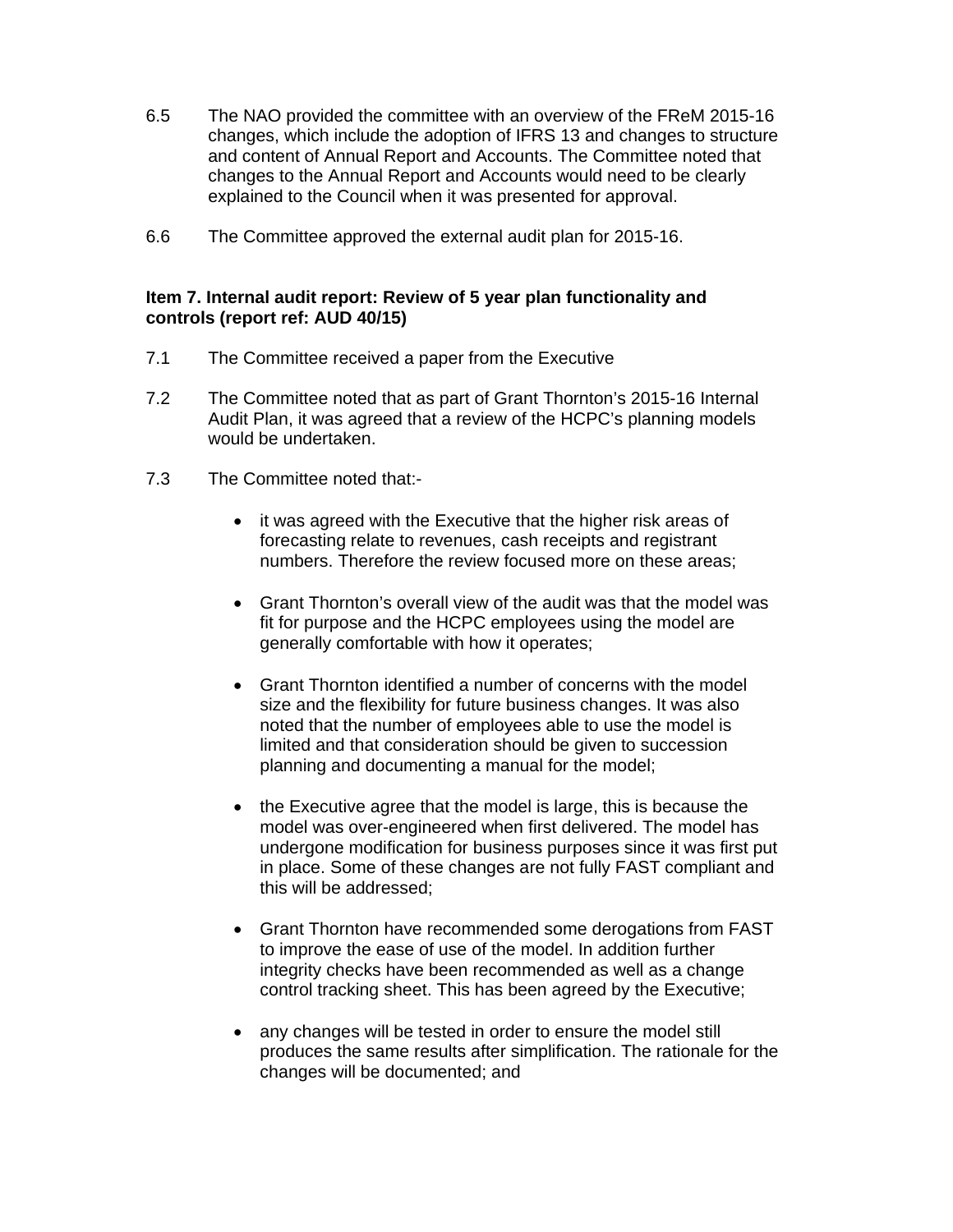- 6.5 The NAO provided the committee with an overview of the FReM 2015-16 changes, which include the adoption of IFRS 13 and changes to structure and content of Annual Report and Accounts. The Committee noted that changes to the Annual Report and Accounts would need to be clearly explained to the Council when it was presented for approval.
- 6.6 The Committee approved the external audit plan for 2015-16.

#### **Item 7. Internal audit report: Review of 5 year plan functionality and controls (report ref: AUD 40/15)**

- 7.1 The Committee received a paper from the Executive
- 7.2 The Committee noted that as part of Grant Thornton's 2015-16 Internal Audit Plan, it was agreed that a review of the HCPC's planning models would be undertaken.
- 7.3 The Committee noted that:-
	- it was agreed with the Executive that the higher risk areas of forecasting relate to revenues, cash receipts and registrant numbers. Therefore the review focused more on these areas;
	- Grant Thornton's overall view of the audit was that the model was fit for purpose and the HCPC employees using the model are generally comfortable with how it operates;
	- Grant Thornton identified a number of concerns with the model size and the flexibility for future business changes. It was also noted that the number of employees able to use the model is limited and that consideration should be given to succession planning and documenting a manual for the model;
	- the Executive agree that the model is large, this is because the model was over-engineered when first delivered. The model has undergone modification for business purposes since it was first put in place. Some of these changes are not fully FAST compliant and this will be addressed;
	- Grant Thornton have recommended some derogations from FAST to improve the ease of use of the model. In addition further integrity checks have been recommended as well as a change control tracking sheet. This has been agreed by the Executive;
	- any changes will be tested in order to ensure the model still produces the same results after simplification. The rationale for the changes will be documented; and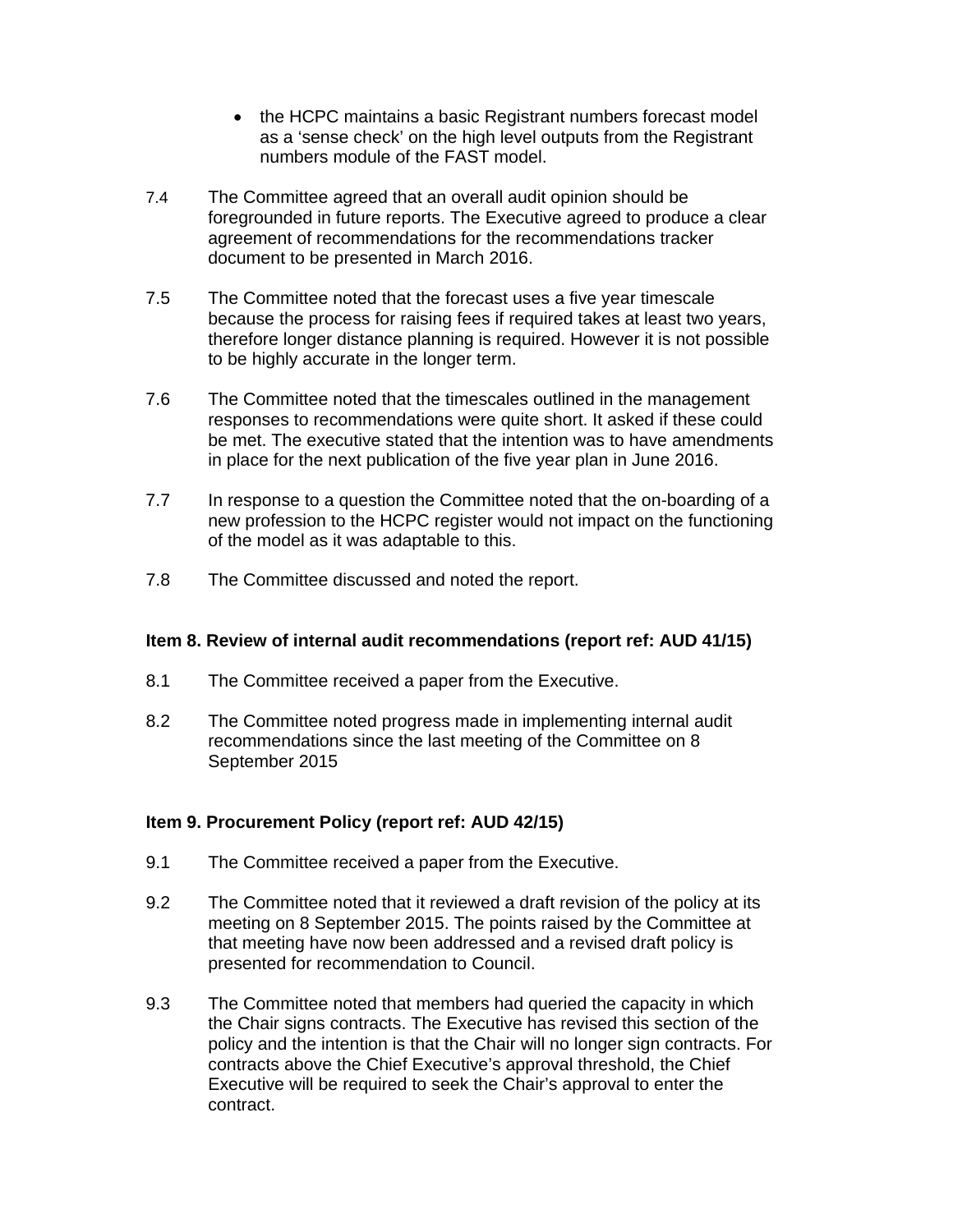- the HCPC maintains a basic Registrant numbers forecast model as a 'sense check' on the high level outputs from the Registrant numbers module of the FAST model.
- 7.4 The Committee agreed that an overall audit opinion should be foregrounded in future reports. The Executive agreed to produce a clear agreement of recommendations for the recommendations tracker document to be presented in March 2016.
- 7.5 The Committee noted that the forecast uses a five year timescale because the process for raising fees if required takes at least two years, therefore longer distance planning is required. However it is not possible to be highly accurate in the longer term.
- 7.6 The Committee noted that the timescales outlined in the management responses to recommendations were quite short. It asked if these could be met. The executive stated that the intention was to have amendments in place for the next publication of the five year plan in June 2016.
- 7.7 In response to a question the Committee noted that the on-boarding of a new profession to the HCPC register would not impact on the functioning of the model as it was adaptable to this.
- 7.8 The Committee discussed and noted the report.

## **Item 8. Review of internal audit recommendations (report ref: AUD 41/15)**

- 8.1 The Committee received a paper from the Executive.
- 8.2 The Committee noted progress made in implementing internal audit recommendations since the last meeting of the Committee on 8 September 2015

## **Item 9. Procurement Policy (report ref: AUD 42/15)**

- 9.1 The Committee received a paper from the Executive.
- 9.2 The Committee noted that it reviewed a draft revision of the policy at its meeting on 8 September 2015. The points raised by the Committee at that meeting have now been addressed and a revised draft policy is presented for recommendation to Council.
- 9.3 The Committee noted that members had queried the capacity in which the Chair signs contracts. The Executive has revised this section of the policy and the intention is that the Chair will no longer sign contracts. For contracts above the Chief Executive's approval threshold, the Chief Executive will be required to seek the Chair's approval to enter the contract.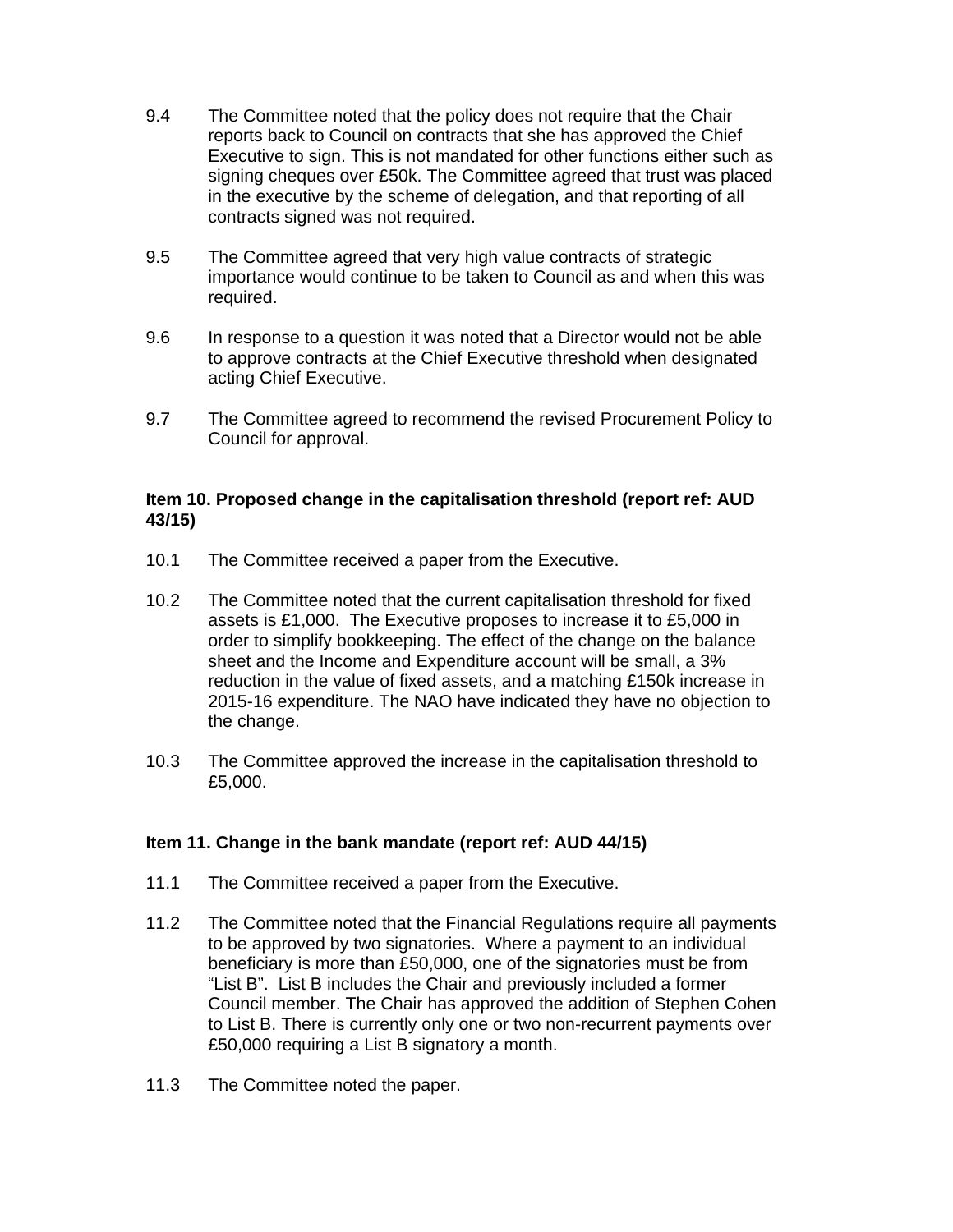- 9.4 The Committee noted that the policy does not require that the Chair reports back to Council on contracts that she has approved the Chief Executive to sign. This is not mandated for other functions either such as signing cheques over £50k. The Committee agreed that trust was placed in the executive by the scheme of delegation, and that reporting of all contracts signed was not required.
- 9.5 The Committee agreed that very high value contracts of strategic importance would continue to be taken to Council as and when this was required.
- 9.6 In response to a question it was noted that a Director would not be able to approve contracts at the Chief Executive threshold when designated acting Chief Executive.
- 9.7 The Committee agreed to recommend the revised Procurement Policy to Council for approval.

## **Item 10. Proposed change in the capitalisation threshold (report ref: AUD 43/15)**

- 10.1 The Committee received a paper from the Executive.
- 10.2 The Committee noted that the current capitalisation threshold for fixed assets is £1,000. The Executive proposes to increase it to £5,000 in order to simplify bookkeeping. The effect of the change on the balance sheet and the Income and Expenditure account will be small, a 3% reduction in the value of fixed assets, and a matching £150k increase in 2015-16 expenditure. The NAO have indicated they have no objection to the change.
- 10.3 The Committee approved the increase in the capitalisation threshold to £5,000.

## **Item 11. Change in the bank mandate (report ref: AUD 44/15)**

- 11.1 The Committee received a paper from the Executive.
- 11.2 The Committee noted that the Financial Regulations require all payments to be approved by two signatories. Where a payment to an individual beneficiary is more than £50,000, one of the signatories must be from "List B". List B includes the Chair and previously included a former Council member. The Chair has approved the addition of Stephen Cohen to List B. There is currently only one or two non-recurrent payments over £50,000 requiring a List B signatory a month.
- 11.3 The Committee noted the paper.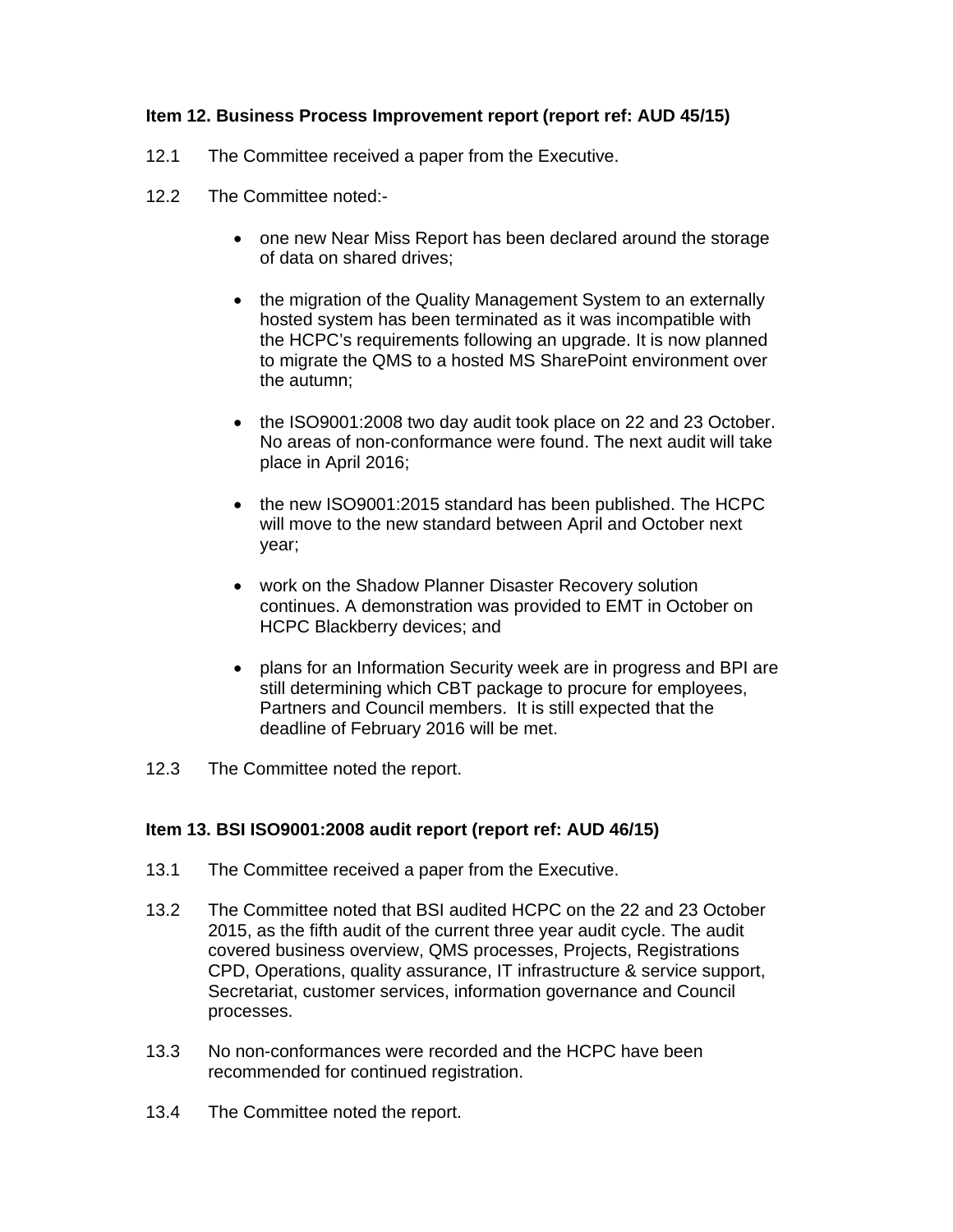## **Item 12. Business Process Improvement report (report ref: AUD 45/15)**

- 12.1 The Committee received a paper from the Executive.
- 12.2 The Committee noted:-
	- one new Near Miss Report has been declared around the storage of data on shared drives;
	- the migration of the Quality Management System to an externally hosted system has been terminated as it was incompatible with the HCPC's requirements following an upgrade. It is now planned to migrate the QMS to a hosted MS SharePoint environment over the autumn;
	- the ISO9001:2008 two day audit took place on 22 and 23 October. No areas of non-conformance were found. The next audit will take place in April 2016;
	- the new ISO9001:2015 standard has been published. The HCPC will move to the new standard between April and October next year;
	- work on the Shadow Planner Disaster Recovery solution continues. A demonstration was provided to EMT in October on HCPC Blackberry devices; and
	- plans for an Information Security week are in progress and BPI are still determining which CBT package to procure for employees, Partners and Council members. It is still expected that the deadline of February 2016 will be met.
- 12.3 The Committee noted the report.

## **Item 13. BSI ISO9001:2008 audit report (report ref: AUD 46/15)**

- 13.1 The Committee received a paper from the Executive.
- 13.2 The Committee noted that BSI audited HCPC on the 22 and 23 October 2015, as the fifth audit of the current three year audit cycle. The audit covered business overview, QMS processes, Projects, Registrations CPD, Operations, quality assurance, IT infrastructure & service support, Secretariat, customer services, information governance and Council processes.
- 13.3 No non-conformances were recorded and the HCPC have been recommended for continued registration.
- 13.4 The Committee noted the report.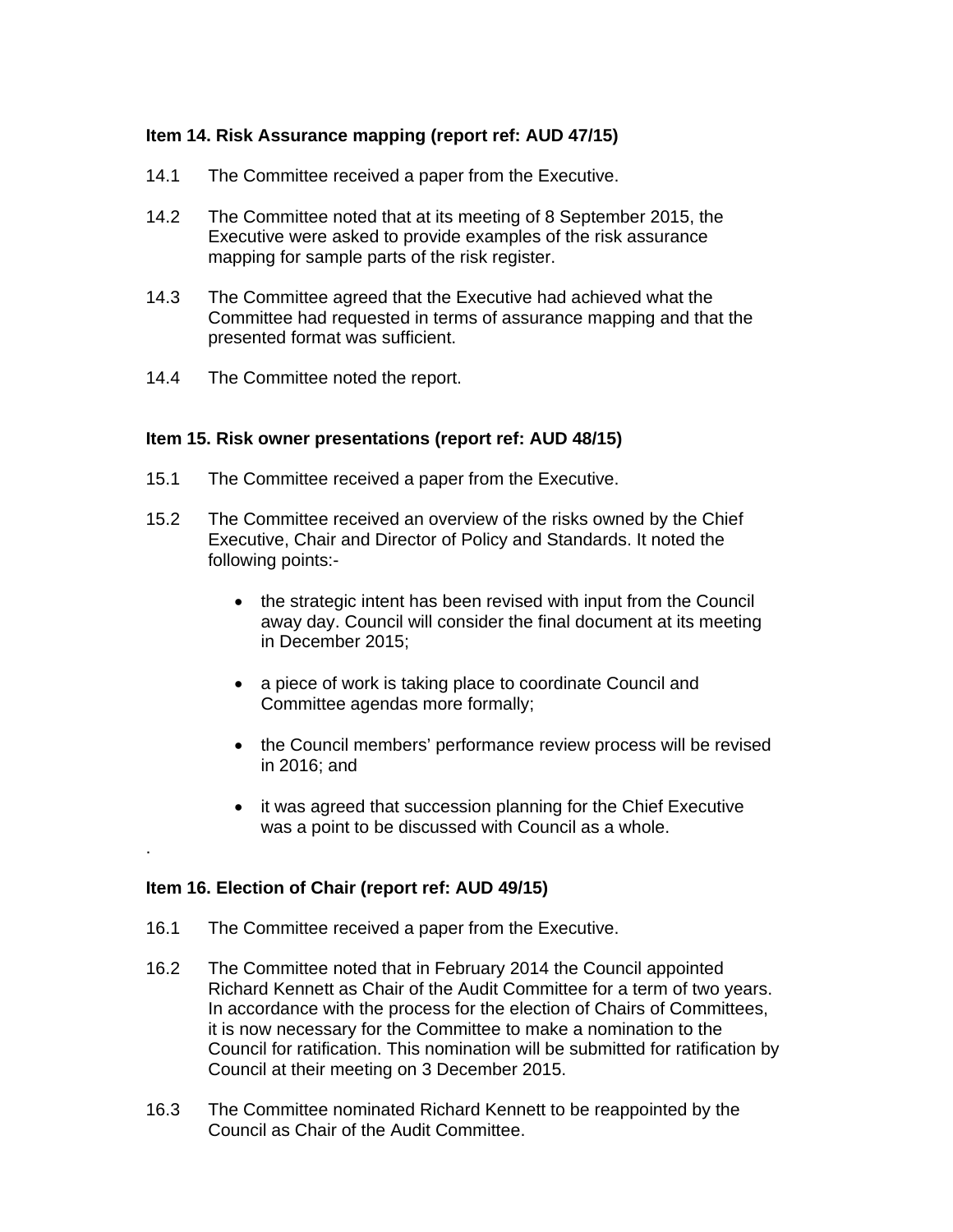## **Item 14. Risk Assurance mapping (report ref: AUD 47/15)**

- 14.1 The Committee received a paper from the Executive.
- 14.2 The Committee noted that at its meeting of 8 September 2015, the Executive were asked to provide examples of the risk assurance mapping for sample parts of the risk register.
- 14.3 The Committee agreed that the Executive had achieved what the Committee had requested in terms of assurance mapping and that the presented format was sufficient.
- 14.4 The Committee noted the report.

#### **Item 15. Risk owner presentations (report ref: AUD 48/15)**

- 15.1 The Committee received a paper from the Executive.
- 15.2 The Committee received an overview of the risks owned by the Chief Executive, Chair and Director of Policy and Standards. It noted the following points:-
	- the strategic intent has been revised with input from the Council away day. Council will consider the final document at its meeting in December 2015;
	- a piece of work is taking place to coordinate Council and Committee agendas more formally;
	- the Council members' performance review process will be revised in  $2016$ ; and
	- it was agreed that succession planning for the Chief Executive was a point to be discussed with Council as a whole.

#### **Item 16. Election of Chair (report ref: AUD 49/15)**

.

- 16.1 The Committee received a paper from the Executive.
- 16.2 The Committee noted that in February 2014 the Council appointed Richard Kennett as Chair of the Audit Committee for a term of two years. In accordance with the process for the election of Chairs of Committees, it is now necessary for the Committee to make a nomination to the Council for ratification. This nomination will be submitted for ratification by Council at their meeting on 3 December 2015.
- 16.3 The Committee nominated Richard Kennett to be reappointed by the Council as Chair of the Audit Committee.